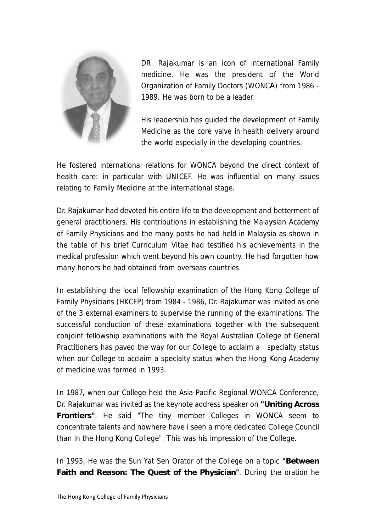

DR. Rajakumar is an icon of international Family medicine. He was the president of the World Organization of Family Doctors (WONCA) from 1986 -1989. He was born to be a leader.

His leadership has guided the development of Family Medicine as the core valve in health delivery around the world especially in the developing countries.

He fostered international relations for WONCA beyond the direct context of health care: in particular with UNICEF. He was influential on many issues relating to Family Medicine at the international stage.

Dr. Rajakumar had devoted his entire life to the development and betterment of general practitioners. His contributions in establishing the Malaysian Academy of Family Physicians and the many posts he had held in Malaysia as shown in the table of his brief Curriculum Vitae had testified his achievements in the medical profession which went beyond his own country. He had forgotten how many honors he had obtained from overseas countries.

In establishing the local fellowship examination of the Hong Kong College of Family Physicians (HKCFP) from 1984 - 1986, Dr. Rajakumar was invited as one of the 3 external examiners to supervise the running of the examinations. The successful conduction of these examinations together with the subsequent conjoint fellowship examinations with the Royal Australian College of General Practitioners has paved the way for our College to acclaim a specialty status when our College to acclaim a specialty status when the Hong Kong Academy of medicine was formed in 1993.

In 1987, when our College held the Asia-Pacific Regional WONCA Conference, Dr. Rajakumar was invited as the keynote address speaker on "Uniting Across" **Frontiers".** He said "The tiny member Colleges in WONCA seem to concentrate talents and nowhere have i seen a more dedicated College Council than in the Hong Kong College". This was his impression of the College.

In 1993, He was the Sun Yat Sen Orator of the College on a topic "Between" Faith and Reason: The Quest of the Physician". During the oration he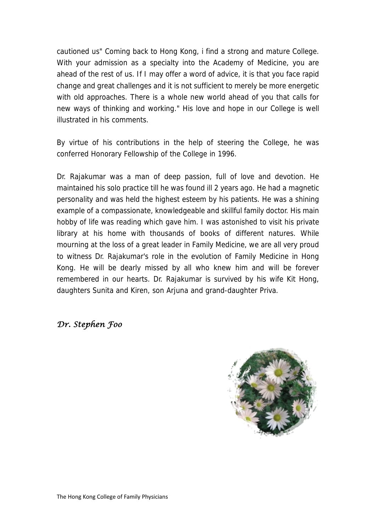cautioned us" Coming back to Hong Kong, i find a strong and mature College. With your admission as a specialty into the Academy of Medicine, you are ahead of the rest of us. If I may offer a word of advice, it is that you face rapid change and great challenges and it is not sufficient to merely be more energetic with old approaches. There is a whole new world ahead of you that calls for new ways of thinking and working." His love and hope in our College is well illustrated in his comments.

By virtue of his contributions in the help of steering the College, he was conferred Honorary Fellowship of the College in 1996.

Dr. Rajakumar was a man of deep passion, full of love and devotion. He maintained his solo practice till he was found ill 2 years ago. He had a magnetic personality and was held the highest esteem by his patients. He was a shining example of a compassionate, knowledgeable and skillful family doctor. His main hobby of life was reading which gave him. I was astonished to visit his private library at his home with thousands of books of different natures. While mourning at the loss of a great leader in Family Medicine, we are all very proud to witness Dr. Rajakumar's role in the evolution of Family Medicine in Hong Kong. He will be dearly missed by all who knew him and will be forever remembered in our hearts. Dr. Rajakumar is survived by his wife Kit Hong, daughters Sunita and Kiren, son Arjuna and grand-daughter Priva.

## *Dr. Stephen Foo*